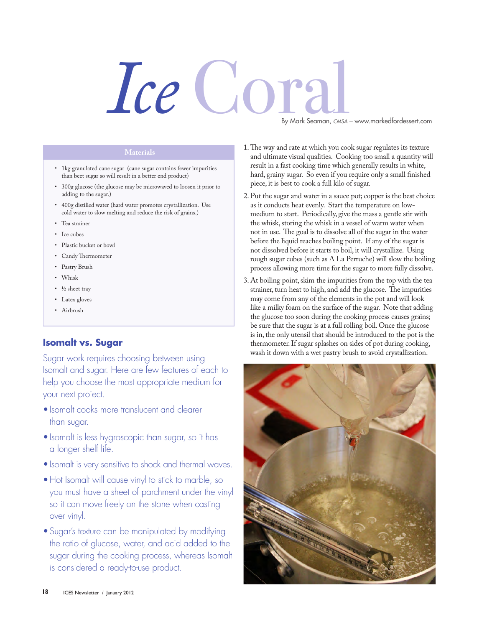## *Ice* Coral

By Mark Seaman, *CMSA* – www.markedfordessert.com

- • 1kg granulated cane sugar (cane sugar contains fewer impurities than beet sugar so will result in a better end product)
- • 300g glucose (the glucose may be microwaved to loosen it prior to adding to the sugar.)
- • 400g distilled water (hard water promotes crystallization. Use cold water to slow melting and reduce the risk of grains.)
- • Tea strainer
- Ice cubes
- • Plastic bucket or bowl
- • Candy Thermometer
- • Pastry Brush
- • Whisk
- ½ sheet tray
- Latex gloves
- • Airbrush

## **Isomalt vs. Sugar**

Sugar work requires choosing between using Isomalt and sugar. Here are few features of each to help you choose the most appropriate medium for your next project.

- Isomalt cooks more translucent and clearer than sugar.
- Isomalt is less hygroscopic than sugar, so it has a longer shelf life.
- Isomalt is very sensitive to shock and thermal waves.
- Hot Isomalt will cause vinyl to stick to marble, so you must have a sheet of parchment under the vinyl so it can move freely on the stone when casting over vinyl.
- Sugar's texture can be manipulated by modifying the ratio of glucose, water, and acid added to the sugar during the cooking process, whereas Isomalt is considered a ready-to-use product.
- 1.The way and rate at which you cook sugar regulates its texture and ultimate visual qualities. Cooking too small a quantity will result in a fast cooking time which generally results in white, hard, grainy sugar. So even if you require only a small finished piece, it is best to cook a full kilo of sugar.
- 2. Put the sugar and water in a sauce pot; copper is the best choice as it conducts heat evenly. Start the temperature on lowmedium to start. Periodically, give the mass a gentle stir with the whisk, storing the whisk in a vessel of warm water when not in use. The goal is to dissolve all of the sugar in the water before the liquid reaches boiling point. If any of the sugar is not dissolved before it starts to boil, it will crystallize. Using rough sugar cubes (such as A La Perruche) will slow the boiling process allowing more time for the sugar to more fully dissolve.
- 3. At boiling point, skim the impurities from the top with the tea strainer, turn heat to high, and add the glucose. The impurities may come from any of the elements in the pot and will look like a milky foam on the surface of the sugar. Note that adding the glucose too soon during the cooking process causes grains; be sure that the sugar is at a full rolling boil. Once the glucose is in, the only utensil that should be introduced to the pot is the thermometer. If sugar splashes on sides of pot during cooking, wash it down with a wet pastry brush to avoid crystallization.